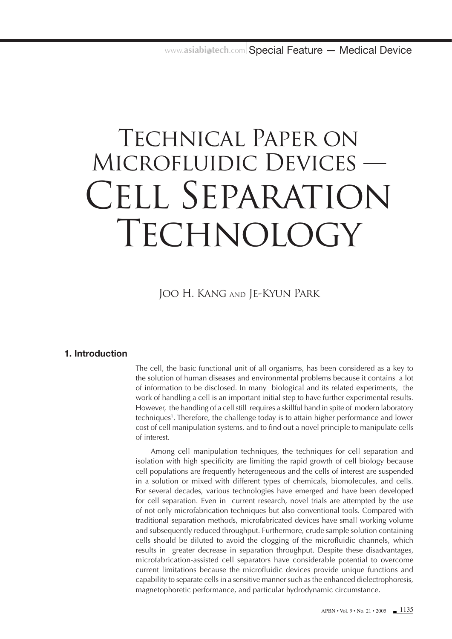# Technical Paper on Microfluidic Devices — CELL SEPARATION TECHNOLOGY

Joo H. Kang and Je-Kyun Park

# **1. Introduction**

The cell, the basic functional unit of all organisms, has been considered as a key to the solution of human diseases and environmental problems because it contains a lot of information to be disclosed. In many biological and its related experiments, the work of handling a cell is an important initial step to have further experimental results. However, the handling of a cell still requires a skillful hand in spite of modern laboratory techniques1 . Therefore, the challenge today is to attain higher performance and lower cost of cell manipulation systems, and to find out a novel principle to manipulate cells of interest.

Among cell manipulation techniques, the techniques for cell separation and isolation with high specificity are limiting the rapid growth of cell biology because cell populations are frequently heterogeneous and the cells of interest are suspended in a solution or mixed with different types of chemicals, biomolecules, and cells. For several decades, various technologies have emerged and have been developed for cell separation. Even in current research, novel trials are attempted by the use of not only microfabrication techniques but also conventional tools. Compared with traditional separation methods, microfabricated devices have small working volume and subsequently reduced throughput. Furthermore, crude sample solution containing cells should be diluted to avoid the clogging of the microfluidic channels, which results in greater decrease in separation throughput. Despite these disadvantages, microfabrication-assisted cell separators have considerable potential to overcome current limitations because the microfluidic devices provide unique functions and capability to separate cells in a sensitive manner such as the enhanced dielectrophoresis, magnetophoretic performance, and particular hydrodynamic circumstance.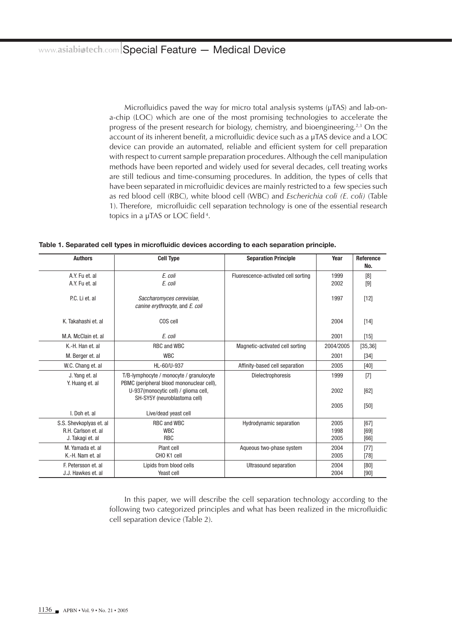Microfluidics paved the way for micro total analysis systems (μTAS) and lab-ona-chip (LOC) which are one of the most promising technologies to accelerate the progress of the present research for biology, chemistry, and bioengineering.2,3 On the account of its inherent benefit, a microfluidic device such as a µTAS device and a LOC device can provide an automated, reliable and efficient system for cell preparation with respect to current sample preparation procedures. Although the cell manipulation methods have been reported and widely used for several decades, cell treating works are still tedious and time-consuming procedures. In addition, the types of cells that have been separated in microfluidic devices are mainly restricted to a few species such as red blood cell (RBC), white blood cell (WBC) and *Escherichia coli (E. coli)* (Table 1). Therefore, microfluidic cell separation technology is one of the essential research topics in a μTAS or LOC field<sup>4</sup>.

Table 1. Separated cell types in microfluidic devices according to each separation principle.

| <b>Authors</b>                    | <b>Cell Type</b>                                                                     | <b>Separation Principle</b>         | Year         | <b>Reference</b><br>No. |
|-----------------------------------|--------------------------------------------------------------------------------------|-------------------------------------|--------------|-------------------------|
| A.Y. Fu et. al<br>A.Y. Fu et. al  | E. coli<br>E. coli                                                                   | Fluorescence-activated cell sorting | 1999<br>2002 | [8]<br>[9]              |
| P.C. Li et. al                    | Saccharomyces cerevisiae,<br>canine erythrocyte, and E. coli                         |                                     | 1997         | $[12]$                  |
| K. Takahashi et. al               | COS cell                                                                             |                                     | 2004         | $[14]$                  |
| M.A. McClain et. al               | E. coli                                                                              |                                     | 2001         | $[15]$                  |
| K.-H. Han et. al                  | RBC and WBC                                                                          | Magnetic-activated cell sorting     | 2004/2005    | [35, 36]                |
| M. Berger et. al                  | <b>WBC</b>                                                                           |                                     | 2001         | $[34]$                  |
| W.C. Chang et. al                 | HL-60/U-937                                                                          | Affinity-based cell separation      | 2005         | [40]                    |
| J. Yang et. al<br>Y. Huang et. al | T/B-lymphocyte / monocyte / granulocyte<br>PBMC (peripheral blood mononuclear cell), | Dielectrophoresis                   | 1999         | [7]                     |
|                                   | U-937 (monocytic cell) / glioma cell,<br>SH-SY5Y (neuroblastoma cell)                |                                     | 2002         | [62]                    |
| I. Doh et. al                     | Live/dead yeast cell                                                                 |                                     | 2005         | [50]                    |
| S.S. Shevkoplyas et. al           | RBC and WBC                                                                          | <b>Hydrodynamic separation</b>      | 2005         | [67]                    |
| R.H. Carlson et. al               | <b>WBC</b>                                                                           |                                     | 1998         | [69]                    |
| J. Takagi et. al                  | <b>RBC</b>                                                                           |                                     | 2005         | [66]                    |
| M. Yamada et. al                  | Plant cell                                                                           | Aqueous two-phase system            | 2004         | $[77]$                  |
| K.-H. Nam et. al                  | CHO K1 cell                                                                          |                                     | 2005         | $[78]$                  |
| F. Petersson et. al.              | Lipids from blood cells                                                              | Ultrasound separation               | 2004         | [80]                    |
| J.J. Hawkes et. al                | Yeast cell                                                                           |                                     | 2004         | [90]                    |

In this paper, we will describe the cell separation technology according to the following two categorized principles and what has been realized in the microfluidic cell separation device (Table 2).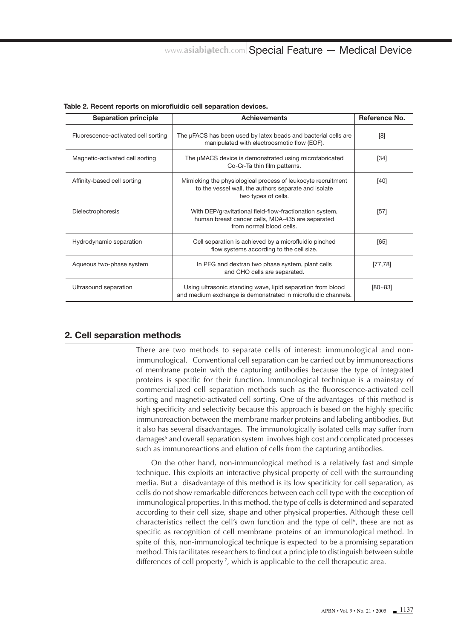| <b>Separation principle</b>         | <b>Achievements</b>                                                                                                                         | Reference No. |
|-------------------------------------|---------------------------------------------------------------------------------------------------------------------------------------------|---------------|
| Fluorescence-activated cell sorting | The µFACS has been used by latex beads and bacterial cells are<br>manipulated with electroosmotic flow (EOF).                               | [8]           |
| Magnetic-activated cell sorting     | The µMACS device is demonstrated using microfabricated<br>Co-Cr-Ta thin film patterns.                                                      | $[34]$        |
| Affinity-based cell sorting         | Mimicking the physiological process of leukocyte recruitment<br>to the vessel wall, the authors separate and isolate<br>two types of cells. | $[40]$        |
| Dielectrophoresis                   | With DEP/gravitational field-flow-fractionation system,<br>human breast cancer cells, MDA-435 are separated<br>from normal blood cells.     | $[57]$        |
| Hydrodynamic separation             | Cell separation is achieved by a microfluidic pinched<br>flow systems according to the cell size.                                           | [65]          |
| Aqueous two-phase system            | In PEG and dextran two phase system, plant cells<br>and CHO cells are separated.                                                            | [77, 78]      |
| Ultrasound separation               | Using ultrasonic standing wave, lipid separation from blood<br>and medium exchange is demonstrated in microfluidic channels.                | $[80 - 83]$   |

Table 2. Recent reports on microfluidic cell separation devices.

# **2. Cell separation methods**

There are two methods to separate cells of interest: immunological and nonimmunological. Conventional cell separation can be carried out by immunoreactions of membrane protein with the capturing antibodies because the type of integrated proteins is specific for their function. Immunological technique is a mainstay of commercialized cell separation methods such as the fluorescence-activated cell sorting and magnetic-activated cell sorting. One of the advantages of this method is high specificity and selectivity because this approach is based on the highly specific immunoreaction between the membrane marker proteins and labeling antibodies. But it also has several disadvantages. The immunologically isolated cells may suffer from damages<sup>5</sup> and overall separation system involves high cost and complicated processes such as immunoreactions and elution of cells from the capturing antibodies.

On the other hand, non-immunological method is a relatively fast and simple technique. This exploits an interactive physical property of cell with the surrounding media. But a disadvantage of this method is its low specificity for cell separation, as cells do not show remarkable differences between each cell type with the exception of immunological properties. In this method, the type of cells is determined and separated according to their cell size, shape and other physical properties. Although these cell characteristics reflect the cell's own function and the type of cell<sup>6</sup>, these are not as specific as recognition of cell membrane proteins of an immunological method. In spite of this, non-immunological technique is expected to be a promising separation method. This facilitates researchers to find out a principle to distinguish between subtle differences of cell property<sup>7</sup>, which is applicable to the cell therapeutic area.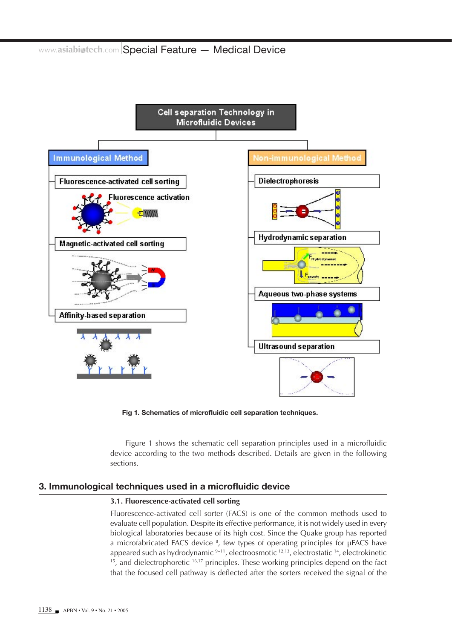

Fig 1. Schematics of microfluidic cell separation techniques.

Figure 1 shows the schematic cell separation principles used in a microfluidic device according to the two methods described. Details are given in the following sections.

## **3. Immunological techniques used in a microfluidic device**

#### **3.1. Fluorescence-activated cell sorting**

Fluorescence-activated cell sorter (FACS) is one of the common methods used to evaluate cell population. Despite its effective performance, it is not widely used in every biological laboratories because of its high cost. Since the Quake group has reported a microfabricated FACS device 8 , few types of operating principles for μFACS have appeared such as hydrodynamic  $9-11$ , electroosmotic  $12,13$ , electrostatic  $14$ , electrokinetic  $15$ , and dielectrophoretic  $16,17$  principles. These working principles depend on the fact that the focused cell pathway is deflected after the sorters received the signal of the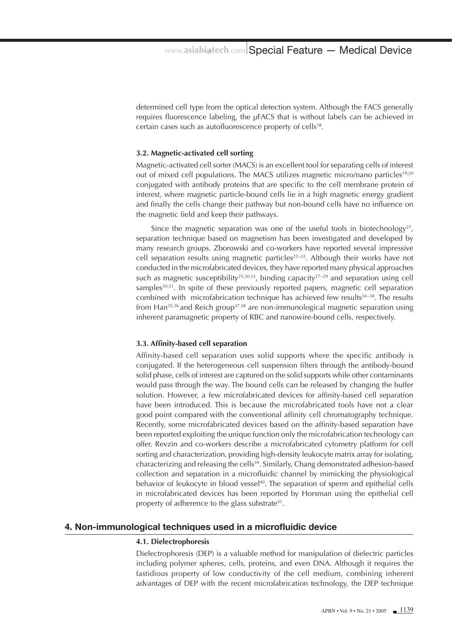determined cell type from the optical detection system. Although the FACS generally requires fluorescence labeling, the μFACS that is without labels can be achieved in certain cases such as autofluorescence property of cells<sup>18</sup>.

#### **3.2. Magnetic-activated cell sorting**

Magnetic-activated cell sorter (MACS) is an excellent tool for separating cells of interest out of mixed cell populations. The MACS utilizes magnetic micro/nano particles<sup>19,20</sup> conjugated with antibody proteins that are specific to the cell membrane protein of interest, where magnetic particle-bound cells lie in a high magnetic energy gradient and finally the cells change their pathway but non-bound cells have no influence on the magnetic field and keep their pathways.

Since the magnetic separation was one of the useful tools in biotechnology<sup>21</sup>, separation technique based on magnetism has been investigated and developed by many research groups. Zborowski and co-workers have reported several impressive cell separation results using magnetic particles<sup>22~33</sup>. Although their works have not conducted in the microfabricated devices, they have reported many physical approaches such as magnetic susceptibility<sup>25,30,33</sup>, binding capacity<sup>27-29</sup> and separation using cell samples<sup>30,31</sup>. In spite of these previously reported papers, magnetic cell separation combined with microfabrication technique has achieved few results<sup>34~38</sup>. The results from Han<sup>35,36</sup> and Reich group<sup>37,38</sup> are non-immunological magnetic separation using inherent paramagnetic property of RBC and nanowire-bound cells, respectively.

#### **3.3. Affinity-based cell separation**

Affinity-based cell separation uses solid supports where the specific antibody is conjugated. If the heterogeneous cell suspension filters through the antibody-bound solid phase, cells of interest are captured on the solid supports while other contaminants would pass through the way. The bound cells can be released by changing the buffer solution. However, a few microfabricated devices for affinity-based cell separation have been introduced. This is because the microfabricated tools have not a clear good point compared with the conventional affinity cell chromatography technique. Recently, some microfabricated devices based on the affinity-based separation have been reported exploiting the unique function only the microfabrication technology can offer. Revzin and co-workers describe a microfabricated cytometry platform for cell sorting and characterization, providing high-density leukocyte matrix array for isolating, characterizing and releasing the cells39. Similarly, Chang demonstrated adhesion-based collection and separation in a microfluidic channel by mimicking the physiological behavior of leukocyte in blood vessel<sup>40</sup>. The separation of sperm and epithelial cells in microfabricated devices has been reported by Horsman using the epithelial cell property of adherence to the glass substrate<sup>41</sup>.

## **4. Non-immunological techniques used in a microfluidic device**

#### **4.1. Dielectrophoresis**

Dielectrophoresis (DEP) is a valuable method for manipulation of dielectric particles including polymer spheres, cells, proteins, and even DNA. Although it requires the fastidious property of low conductivity of the cell medium, combining inherent advantages of DEP with the recent microfabrication technology, the DEP technique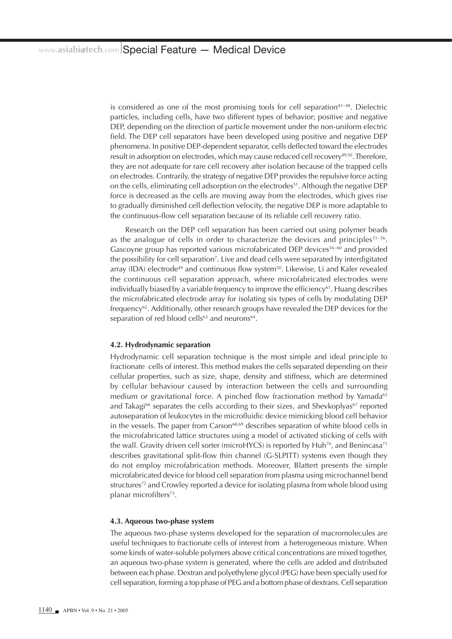is considered as one of the most promising tools for cell separation $42-48$ . Dielectric particles, including cells, have two different types of behavior; positive and negative DEP, depending on the direction of particle movement under the non-uniform electric field. The DEP cell separators have been developed using positive and negative DEP phenomena. In positive DEP-dependent separator, cells deflected toward the electrodes result in adsorption on electrodes, which may cause reduced cell recovery49,50. Therefore, they are not adequate for rare cell recovery after isolation because of the trapped cells on electrodes. Contrarily, the strategy of negative DEP provides the repulsive force acting on the cells, eliminating cell adsorption on the electrodes<sup>51</sup>. Although the negative DEP force is decreased as the cells are moving away from the electrodes, which gives rise to gradually diminished cell deflection velocity, the negative DEP is more adaptable to the continuous-flow cell separation because of its reliable cell recovery ratio.

Research on the DEP cell separation has been carried out using polymer beads as the analogue of cells in order to characterize the devices and principles<sup>51~56</sup>. Gascoyne group has reported various microfabricated DEP devices $56-60$  and provided the possibility for cell separation<sup>7</sup>. Live and dead cells were separated by interdigitated array (IDA) electrode<sup>49</sup> and continuous flow system<sup>50</sup>. Likewise, Li and Kaler revealed the continuous cell separation approach, where microfabricated electrodes were individually biased by a variable frequency to improve the efficiency<sup>61</sup>. Huang describes the microfabricated electrode array for isolating six types of cells by modulating DEP frequency<sup>62</sup>. Additionally, other research groups have revealed the DEP devices for the separation of red blood cells<sup>63</sup> and neurons<sup>64</sup>.

#### **4.2. Hydrodynamic separation**

Hydrodynamic cell separation technique is the most simple and ideal principle to fractionate cells of interest. This method makes the cells separated depending on their cellular properties, such as size, shape, density and stiffness, which are determined by cellular behaviour caused by interaction between the cells and surrounding medium or gravitational force. A pinched flow fractionation method by Yamada<sup>65</sup> and Takagi<sup>66</sup> separates the cells according to their sizes, and Shevkoplyas<sup>67</sup> reported autoseparation of leukocytes in the microfluidic device mimicking blood cell behavior in the vessels. The paper from Carson<sup>68,69</sup> describes separation of white blood cells in the microfabricated lattice structures using a model of activated sticking of cells with the wall. Gravity driven cell sorter (microHYCS) is reported by  $Huh^{70}$ , and Benincasa<sup>71</sup> describes gravitational split-flow thin channel (G-SLPITT) systems even though they do not employ microfabrication methods. Moreover, Blattert presents the simple microfabricated device for blood cell separation from plasma using microchannel bend structures<sup>72</sup> and Crowley reported a device for isolating plasma from whole blood using planar microfilters<sup>73</sup>.

#### **4.3. Aqueous two-phase system**

The aqueous two-phase systems developed for the separation of macromolecules are useful techniques to fractionate cells of interest from a heterogeneous mixture. When some kinds of water-soluble polymers above critical concentrations are mixed together, an aqueous two-phase system is generated, where the cells are added and distributed between each phase. Dextran and polyethylene glycol (PEG) have been specially used for cell separation, forming a top phase of PEG and a bottom phase of dextrans. Cell separation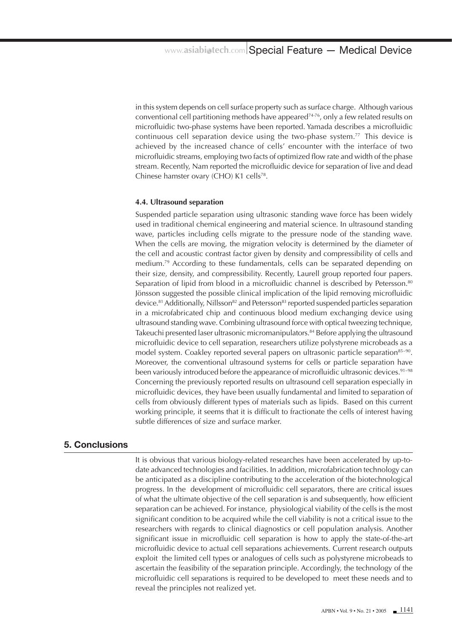in this system depends on cell surface property such as surface charge. Although various conventional cell partitioning methods have appeared<sup> $74-76$ </sup>, only a few related results on microfluidic two-phase systems have been reported. Yamada describes a microfluidic continuous cell separation device using the two-phase system.77 This device is achieved by the increased chance of cells' encounter with the interface of two microfluidic streams, employing two facts of optimized flow rate and width of the phase stream. Recently, Nam reported the microfluidic device for separation of live and dead Chinese hamster ovary (CHO) K1 cells<sup>78</sup>.

#### **4.4. Ultrasound separation**

Suspended particle separation using ultrasonic standing wave force has been widely used in traditional chemical engineering and material science. In ultrasound standing wave, particles including cells migrate to the pressure node of the standing wave. When the cells are moving, the migration velocity is determined by the diameter of the cell and acoustic contrast factor given by density and compressibility of cells and medium.79 According to these fundamentals, cells can be separated depending on their size, density, and compressibility. Recently, Laurell group reported four papers. Separation of lipid from blood in a microfluidic channel is described by Petersson.<sup>80</sup> Jönsson suggested the possible clinical implication of the lipid removing microfluidic device.<sup>81</sup> Additionally, Nillsson<sup>82</sup> and Petersson<sup>83</sup> reported suspended particles separation in a microfabricated chip and continuous blood medium exchanging device using ultrasound standing wave. Combining ultrasound force with optical tweezing technique, Takeuchi presented laser ultrasonic micromanipulators.<sup>84</sup> Before applying the ultrasound microfluidic device to cell separation, researchers utilize polystyrene microbeads as a model system. Coakley reported several papers on ultrasonic particle separation<sup>85~90</sup>. Moreover, the conventional ultrasound systems for cells or particle separation have been variously introduced before the appearance of microfluidic ultrasonic devices.<sup>91-98</sup> Concerning the previously reported results on ultrasound cell separation especially in microfluidic devices, they have been usually fundamental and limited to separation of cells from obviously different types of materials such as lipids. Based on this current working principle, it seems that it is difficult to fractionate the cells of interest having subtle differences of size and surface marker.

# **5. Conclusions**

It is obvious that various biology-related researches have been accelerated by up-todate advanced technologies and facilities. In addition, microfabrication technology can be anticipated as a discipline contributing to the acceleration of the biotechnological progress. In the development of microfluidic cell separators, there are critical issues of what the ultimate objective of the cell separation is and subsequently, how efficient separation can be achieved. For instance, physiological viability of the cells is the most significant condition to be acquired while the cell viability is not a critical issue to the researchers with regards to clinical diagnostics or cell population analysis. Another significant issue in microfluidic cell separation is how to apply the state-of-the-art microfluidic device to actual cell separations achievements. Current research outputs exploit the limited cell types or analogues of cells such as polystyrene microbeads to ascertain the feasibility of the separation principle. Accordingly, the technology of the microfluidic cell separations is required to be developed to meet these needs and to reveal the principles not realized yet.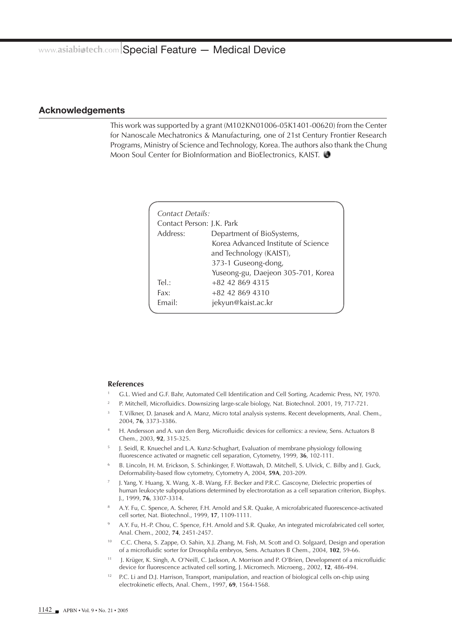#### **Acknowledgements**

This work was supported by a grant (M102KN01006-05K1401-00620) from the Center for Nanoscale Mechatronics & Manufacturing, one of 21st Century Frontier Research Programs, Ministry of Science and Technology, Korea. The authors also thank the Chung Moon Soul Center for BioInformation and BioElectronics, KAIST.

|                           | Contact Details: |                                     |  |
|---------------------------|------------------|-------------------------------------|--|
| Contact Person: J.K. Park |                  |                                     |  |
|                           | Address:         | Department of BioSystems,           |  |
|                           |                  | Korea Advanced Institute of Science |  |
|                           |                  | and Technology (KAIST),             |  |
|                           |                  | 373-1 Guseong-dong,                 |  |
|                           |                  | Yuseong-gu, Daejeon 305-701, Korea  |  |
|                           | Tel:             | $+82$ 42 869 4315                   |  |
|                           | Fax:             | +82 42 869 4310                     |  |
|                           | Email:           | jekyun@kaist.ac.kr                  |  |
|                           |                  |                                     |  |

#### **References**

- 1 G.L. Wied and G.F. Bahr, Automated Cell Identification and Cell Sorting, Academic Press, NY, 1970.
- 2 P. Mitchell, Microfluidics. Downsizing large-scale biology, Nat. Biotechnol. 2001, 19, 717-721.
- 3 T. Vilkner, D. Janasek and A. Manz, Micro total analysis systems. Recent developments, Anal. Chem., 2004, **76**, 3373-3386.
- 4 H. Andersson and A. van den Berg, Microfluidic devices for cellomics: a review, Sens. Actuators B Chem., 2003, **92**, 315-325.
- 5 J. Seidl, R. Knuechel and L.A. Kunz-Schughart, Evaluation of membrane physiology following fluorescence activated or magnetic cell separation, Cytometry, 1999, **36**, 102-111.
- 6 B. Lincoln, H. M. Erickson, S. Schinkinger, F. Wottawah, D. Mitchell, S. Ulvick, C. Bilby and J. Guck, Deformability-based flow cytometry, Cytometry A, 2004, **59A**, 203-209.
- 7 J. Yang, Y. Huang, X. Wang, X.-B. Wang, F.F. Becker and P.R.C. Gascoyne, Dielectric properties of human leukocyte subpopulations determined by electrorotation as a cell separation criterion, Biophys. J., 1999, **76**, 3307-3314.
- 8 A.Y. Fu, C. Spence, A. Scherer, F.H. Arnold and S.R. Quake, A microfabricated fluorescence-activated cell sorter, Nat. Biotechnol., 1999, **17**, 1109-1111.
- 9 A.Y. Fu, H.-P. Chou, C. Spence, F.H. Arnold and S.R. Quake, An integrated microfabricated cell sorter, Anal. Chem., 2002, **74**, 2451-2457.
- 10 C.C. Chena, S. Zappe, O. Sahin, X.J. Zhang, M. Fish, M. Scott and O. Solgaard, Design and operation of a microfluidic sorter for Drosophila embryos, Sens. Actuators B Chem., 2004, **102**, 59-66.
- 11 J. Krüger, K. Singh, A. O'Neill, C. Jackson, A. Morrison and P. O'Brien, Development of a microfluidic device for fluorescence activated cell sorting, J. Micromech. Microeng., 2002, **12**, 486-494.
- <sup>12</sup> P.C. Li and D.J. Harrison, Transport, manipulation, and reaction of biological cells on-chip using electrokinetic effects, Anal. Chem., 1997, **69**, 1564-1568.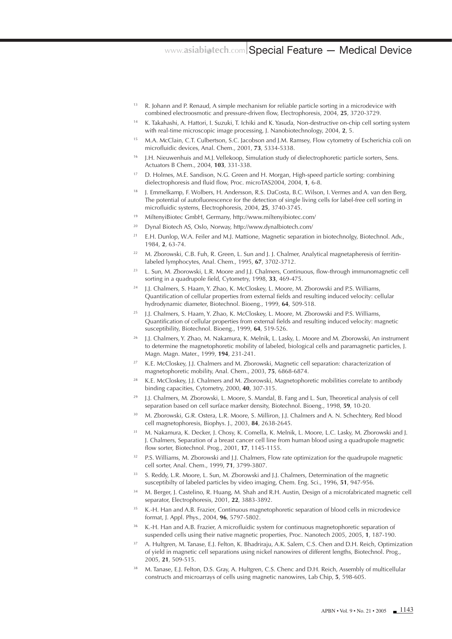- $13$  R. Johann and P. Renaud, A simple mechanism for reliable particle sorting in a microdevice with combined electroosmotic and pressure-driven flow, Electrophoresis, 2004, **25**, 3720-3729.
- 14 K. Takahashi, A. Hattori, I. Suzuki, T. Ichiki and K. Yasuda, Non-destructive on-chip cell sorting system with real-time microscopic image processing, J. Nanobiotechnology, 2004, **2**, 5.
- 15 M.A. McClain, C.T. Culbertson, S.C. Jacobson and J.M. Ramsey, Flow cytometry of Escherichia coli on microfluidic devices, Anal. Chem., 2001, **73**, 5334-5338.
- <sup>16</sup> J.H. Nieuwenhuis and M.J. Vellekoop, Simulation study of dielectrophoretic particle sorters, Sens. Actuators B Chem., 2004, **103**, 331-338.
- 17 D. Holmes, M.E. Sandison, N.G. Green and H. Morgan, High-speed particle sorting: combining dielectrophoresis and fluid flow, Proc. microTAS2004, 2004, **1**, 6-8.
- 18 J. Emmelkamp, F. Wolbers, H. Andersson, R.S. DaCosta, B.C. Wilson, I. Vermes and A. van den Berg, The potential of autofluorescence for the detection of single living cells for label-free cell sorting in microfluidic systems, Electrophoresis, 2004, **25**, 3740-3745.
- 19 MiltenyiBiotec GmbH, Germany, http://www.miltenyibiotec.com/
- 20 Dynal Biotech AS, Oslo, Norway, http://www.dynalbiotech.com/
- <sup>21</sup> E.H. Dunlop, W.A. Feiler and M.J. Mattione, Magnetic separation in biotechnolgy, Biotechnol. Adv., 1984, **2**, 63-74.
- <sup>22</sup> M. Zborowski, C.B. Fuh, R. Green, L. Sun and J. J. Chalmer, Analytical magnetapheresis of ferritinlabeled lymphocytes, Anal. Chem., 1995, **67**, 3702-3712.
- <sup>23</sup> L. Sun, M. Zborowski, L.R. Moore and J.J. Chalmers, Continuous, flow-through immunomagnetic cell sorting in a quadrupole field, Cytometry, 1998, **33**, 469-475.
- <sup>24</sup> J.J. Chalmers, S. Haam, Y. Zhao, K. McCloskey, L. Moore, M. Zborowski and P.S. Williams, Quantification of cellular properties from external fields and resulting induced velocity: cellular hydrodynamic diameter, Biotechnol. Bioeng., 1999, **64**, 509-518.
- 25 J.J. Chalmers, S. Haam, Y. Zhao, K. McCloskey, L. Moore, M. Zborowski and P.S. Williams, Quantification of cellular properties from external fields and resulting induced velocity: magnetic susceptibility, Biotechnol. Bioeng., 1999, **64**, 519-526.
- 26 J.J. Chalmers, Y. Zhao, M. Nakamura, K. Melnik, L. Lasky, L. Moore and M. Zborowski, An instrument to determine the magnetophoretic mobility of labeled, biological cells and paramagnetic particles, J. Magn. Magn. Mater., 1999, **194**, 231-241.
- <sup>27</sup> K.E. McCloskey, J.J. Chalmers and M. Zborowski, Magnetic cell separation: characterization of magnetophoretic mobility, Anal. Chem., 2003, **75**, 6868-6874.
- 28 K.E. McCloskey, J.J. Chalmers and M. Zborowski, Magnetophoretic mobilities correlate to antibody binding capacities, Cytometry, 2000, **40**, 307-315.
- 29 J.J. Chalmers, M. Zborowski, L. Moore, S. Mandal, B. Fang and L. Sun, Theoretical analysis of cell separation based on cell surface marker density, Biotechnol. Bioeng., 1998, **59**, 10-20.
- 30 M. Zborowski, G.R. Ostera, L.R. Moore, S. Milliron, J.J. Chalmers and A. N. Schechtery, Red blood cell magnetophoresis, Biophys. J., 2003, **84**, 2638-2645.
- 31 M. Nakamura, K. Decker, J. Chosy, K. Comella, K. Melnik, L. Moore, L.C. Lasky, M. Zborowski and J. J. Chalmers, Separation of a breast cancer cell line from human blood using a quadrupole magnetic flow sorter, Biotechnol. Prog., 2001, **17**, 1145-1155.
- <sup>32</sup> P.S. Williams, M. Zborowski and J.J. Chalmers, Flow rate optimization for the quadrupole magnetic cell sorter, Anal. Chem., 1999, **71**, 3799-3807.
- <sup>33</sup> S. Reddy, L.R. Moore, L. Sun, M. Zborowski and J.J. Chalmers, Determination of the magnetic susceptibilty of labeled particles by video imaging, Chem. Eng. Sci., 1996, **51**, 947-956.
- <sup>34</sup> M. Berger, J. Castelino, R. Huang, M. Shah and R.H. Austin, Design of a microfabricated magnetic cell separator, Electrophoresis, 2001, **22**, 3883-3892.
- <sup>35</sup> K.-H. Han and A.B. Frazier, Continuous magnetophoretic separation of blood cells in microdevice format, J. Appl. Phys., 2004, **96**, 5797-5802.
- 36 K.-H. Han and A.B. Frazier, A microfluidic system for continuous magnetophoretic separation of suspended cells using their native magnetic properties, Proc. Nanotech 2005, 2005, **1**, 187-190.
- 37 A. Hultgren, M. Tanase, E.J. Felton, K. Bhadriraju, A.K. Salem, C.S. Chen and D.H. Reich, Optimization of yield in magnetic cell separations using nickel nanowires of different lengths, Biotechnol. Prog., 2005, **21**, 509-515.
- 38 M. Tanase, E.J. Felton, D.S. Gray, A. Hultgren, C.S. Chenc and D.H. Reich, Assembly of multicellular constructs and microarrays of cells using magnetic nanowires, Lab Chip, **5**, 598-605.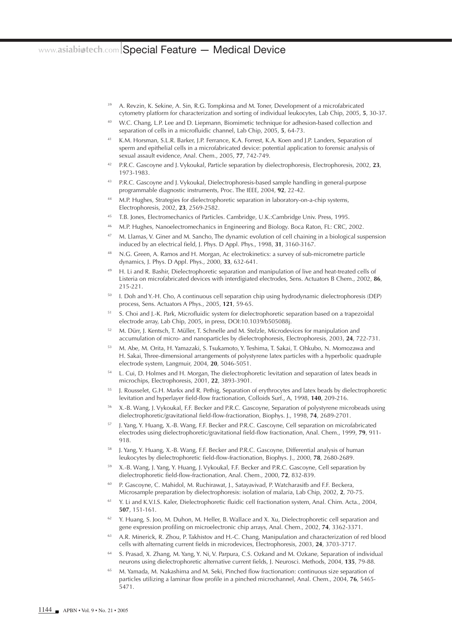- 39 A. Revzin, K. Sekine, A. Sin, R.G. Tompkinsa and M. Toner, Development of a microfabricated cytometry platform for characterization and sorting of individual leukocytes, Lab Chip, 2005, **5**, 30-37.
- 40 W.C. Chang, L.P. Lee and D. Liepmann, Biomimetic technique for adhesion-based collection and separation of cells in a microfluidic channel, Lab Chip, 2005, **5**, 64-73.
- 41 K.M. Horsman, S.L.R. Barker, J.P. Ferrance, K.A. Forrest, K.A. Koen and J.P. Landers, Separation of sperm and epithelial cells in a microfabricated device: potential application to forensic analysis of sexual assault evidence, Anal. Chem., 2005, **77**, 742-749.
- 42 P.R.C. Gascoyne and J. Vykoukal, Particle separation by dielectrophoresis, Electrophoresis, 2002, **23**, 1973-1983.
- P.R.C. Gascoyne and J. Vykoukal, Dielectrophoresis-based sample handling in general-purpose programmable diagnostic instruments, Proc. The IEEE, 2004, **92**, 22-42.
- <sup>44</sup> M.P. Hughes, Strategies for dielectrophoretic separation in laboratory-on-a-chip systems, Electrophoresis, 2002, **23**, 2569-2582.
- 45 T.B. Jones, Electromechanics of Particles. Cambridge, U.K.:Cambridge Univ. Press, 1995.
- 46 M.P. Hughes, Nanoelectromechanics in Engineering and Biology. Boca Raton, FL: CRC, 2002.
- $47$  M. Llamas, V. Giner and M. Sancho, The dynamic evolution of cell chaining in a biological suspension induced by an electrical field, J. Phys. D Appl. Phys., 1998, **31**, 3160-3167.
- N.G. Green, A. Ramos and H. Morgan, Ac electrokinetics: a survey of sub-micrometre particle dynamics, J. Phys. D Appl. Phys., 2000, **33**, 632-641.
- H. Li and R. Bashir, Dielectrophoretic separation and manipulation of live and heat-treated cells of Listeria on microfabricated devices with interdigiated electrodes, Sens. Actuators B Chem., 2002, **86**, 215-221.
- 50 I. Doh and Y.-H. Cho, A continuous cell separation chip using hydrodynamic dielectrophoresis (DEP) process, Sens. Actuators A Phys., 2005, **121**, 59-65.
- 51 S. Choi and J.-K. Park, Microfluidic system for dielectrophoretic separation based on a trapezoidal electrode array, Lab Chip, 2005, in press, DOI:10.1039/b505088j.
- 52 M. Dürr, J. Kentsch, T. Müller, T. Schnelle and M. Stelzle, Microdevices for manipulation and accumulation of micro- and nanoparticles by dielectrophoresis, Electrophoresis, 2003, **24**, 722-731.
- 53 M. Abe, M. Orita, H. Yamazaki, S. Tsukamoto, Y. Teshima, T. Sakai, T. Ohkubo, N. Momozawa and H. Sakai, Three-dimensional arrangements of polystyrene latex particles with a hyperbolic quadruple electrode system, Langmuir, 2004, **20**, 5046-5051.
- <sup>54</sup> L. Cui, D. Holmes and H. Morgan, The dielectrophoretic levitation and separation of latex beads in microchips, Electrophoresis, 2001, **22**, 3893-3901.
- 55 J. Rousselet, G.H. Markx and R. Pethig, Separation of erythrocytes and latex beads by dielectrophoretic levitation and hyperlayer field-flow fractionation, Colloids Surf., A, 1998, **140**, 209-216.
- 56 X.-B. Wang, J. Vykoukal, F.F. Becker and P.R.C. Gascoyne, Separation of polystyrene microbeads using dielectrophoretic/gravitational field-flow-fractionation, Biophys. J., 1998, **74**, 2689-2701.
- 57 J. Yang, Y. Huang, X.-B. Wang, F.F. Becker and P.R.C. Gascoyne, Cell separation on microfabricated electrodes using dielectrophoretic/gravitational field-flow fractionation, Anal. Chem., 1999, **79**, 911- 918.
- 58 J. Yang, Y. Huang, X.-B. Wang, F.F. Becker and P.R.C. Gascoyne, Differential analysis of human leukocytes by dielectrophoretic field-flow-fractionation, Biophys. J., 2000, **78**, 2680-2689.
- 59 X.-B. Wang, J. Yang, Y. Huang, J. Vykoukal, F.F. Becker and P.R.C. Gascoyne, Cell separation by dielectrophoretic field-flow-fractionation, Anal. Chem., 2000, **72**, 832-839.
- P. Gascoyne, C. Mahidol, M. Ruchirawat, J., Satayavivad, P. Watcharasitb and F.F. Beckera, Microsample preparation by dielectrophoresis: isolation of malaria, Lab Chip, 2002, **2**, 70-75.
- <sup>61</sup> Y. Li and K.V.I.S. Kaler, Dielectrophoretic fluidic cell fractionation system, Anal. Chim. Acta., 2004, **507**, 151-161.
- 62 Y. Huang, S. Joo, M. Duhon, M. Heller, B. Wallace and X. Xu, Dielectrophoretic cell separation and gene expression profiling on microelectronic chip arrays, Anal. Chem., 2002, **74**, 3362-3371.
- 63 A.R. Minerick, R. Zhou, P. Takhistov and H.-C. Chang, Manipulation and characterization of red blood cells with alternating current fields in microdevices, Electrophoresis, 2003, **24**, 3703-3717.
- 64 S. Prasad, X. Zhang, M. Yang, Y. Ni, V. Parpura, C.S. Ozkand and M. Ozkane, Separation of individual neurons using dielectrophoretic alternative current fields, J. Neurosci. Methods, 2004, **135**, 79-88.
- 65 M. Yamada, M. Nakashima and M. Seki, Pinched flow fractionation: continuous size separation of particles utilizing a laminar flow profile in a pinched microchannel, Anal. Chem., 2004, **76**, 5465- 5471.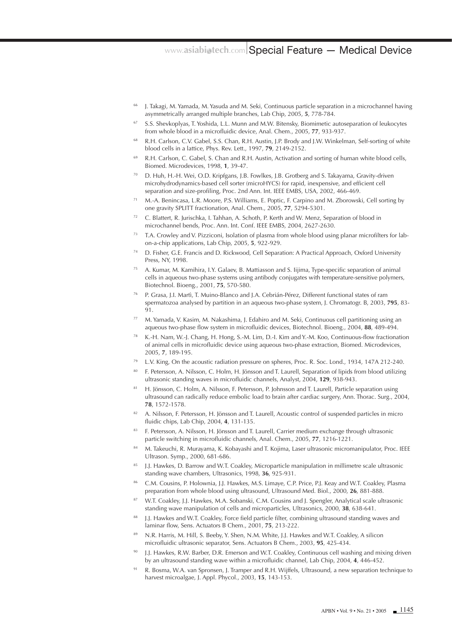- 66 J. Takagi, M. Yamada, M. Yasuda and M. Seki, Continuous particle separation in a microchannel having asymmetrically arranged multiple branches, Lab Chip, 2005, **5**, 778-784.
- 67 S.S. Shevkoplyas, T. Yoshida, L.L. Munn and M.W. Bitensky, Biomimetic autoseparation of leukocytes from whole blood in a microfluidic device, Anal. Chem., 2005, **77**, 933-937.
- 68 R.H. Carlson, C.V. Gabel, S.S. Chan, R.H. Austin, J.P. Brody and J.W. Winkelman, Self-sorting of white blood cells in a lattice, Phys. Rev. Lett., 1997, **79**, 2149-2152.
- R.H. Carlson, C. Gabel, S. Chan and R.H. Austin, Activation and sorting of human white blood cells, Biomed. Microdevices, 1998, **1**, 39-47.
- D. Huh, H.-H. Wei, O.D. Kripfgans, J.B. Fowlkes, J.B. Grotberg and S. Takayama, Gravity-driven microhydrodynamics-based cell sorter (microHYCS) for rapid, inexpensive, and efficient cell separation and size-profiling, Proc. 2nd Ann. Int. IEEE EMBS, USA, 2002, 466-469.
- 71 M.-A. Benincasa, L.R. Moore, P.S. Williams, E. Poptic, F. Carpino and M. Zborowski, Cell sorting by one gravity SPLITT fractionation, Anal. Chem., 2005, **77**, 5294-5301.
- 72 C. Blattert, R. Jurischka, I. Tahhan, A. Schoth, P. Kerth and W. Menz, Separation of blood in microchannel bends, Proc. Ann. Int. Conf. IEEE EMBS, 2004, 2627-2630.
- T.A. Crowley and V. Pizziconi, Isolation of plasma from whole blood using planar microfilters for labon-a-chip applications, Lab Chip, 2005, **5**, 922-929.
- D. Fisher, G.E. Francis and D. Rickwood, Cell Separation: A Practical Approach, Oxford University Press, NY, 1998.
- A. Kumar, M. Kamihira, I.Y. Galaev, B. Mattiasson and S. Iijima, Type-specific separation of animal cells in aqueous two-phase systems using antibody conjugates with temperature-sensitive polymers, Biotechnol. Bioeng., 2001, **75**, 570-580.
- 76 P. Grasa, J.I. Martì, T. Muino-Blanco and J.A. Cebrián-Pérez, Different functional states of ram spermatozoa analysed by partition in an aqueous two-phase system, J. Chromatogr. B, 2003, **795**, 83- 91.
- 77 M. Yamada, V. Kasim, M. Nakashima, J. Edahiro and M. Seki, Continuous cell partitioning using an aqueous two-phase flow system in microfluidic devices, Biotechnol. Bioeng., 2004, **88**, 489-494.
- 78 K.-H. Nam, W.-J. Chang, H. Hong, S.-M. Lim, D.-I. Kim and Y.-M. Koo, Continuous-flow fractionation of animal cells in microfluidic device using aqueous two-phase extraction, Biomed. Microdevices, 2005, **7**, 189-195.
- L.V. King, On the acoustic radiation pressure on spheres, Proc. R. Soc. Lond., 1934, 147A 212-240.
- 80 F. Petersson, A. Nilsson, C. Holm, H. Jönsson and T. Laurell, Separation of lipids from blood utilizing ultrasonic standing waves in microfluidic channels, Analyst, 2004, **129**, 938-943.
- 81 H. Jönsson, C. Holm, A. Nilsson, F. Petersson, P. Johnsson and T. Laurell, Particle separation using ultrasound can radically reduce embolic load to brain after cardiac surgery, Ann. Thorac. Surg., 2004, **78**, 1572-1578.
- 82 A. Nilsson, F. Petersson, H. Jönsson and T. Laurell, Acoustic control of suspended particles in micro fluidic chips, Lab Chip, 2004, **4**, 131-135.
- 83 F. Petersson, A. Nilsson, H. Jönsson and T. Laurell, Carrier medium exchange through ultrasonic particle switching in microfluidic channels, Anal. Chem., 2005, **77**, 1216-1221.
- 84 M. Takeuchi, R. Murayama, K. Kobayashi and T. Kojima, Laser ultrasonic micromanipulator, Proc. IEEE Ultrason. Symp., 2000, 681-686.
- 85 J.J. Hawkes, D. Barrow and W.T. Coakley, Microparticle manipulation in millimetre scale ultrasonic standing wave chambers, Ultrasonics, 1998, **36**, 925-931.
- 86 C.M. Cousins, P. Holownia, J.J. Hawkes, M.S. Limaye, C.P. Price, P.J. Keay and W.T. Coakley, Plasma preparation from whole blood using ultrasound, Ultrasound Med. Biol., 2000, **26**, 881-888.
- W.T. Coakley, J.J. Hawkes, M.A. Sobanski, C.M. Cousins and J. Spengler, Analytical scale ultrasonic standing wave manipulation of cells and microparticles, Ultrasonics, 2000, **38**, 638-641.
- 88 J.J. Hawkes and W.T. Coakley, Force field particle filter, combining ultrasound standing waves and laminar flow, Sens. Actuators B Chem., 2001, **75**, 213-222.
- 89 N.R. Harris, M. Hill, S. Beeby, Y. Shen, N.M. White, J.J. Hawkes and W.T. Coakley, A silicon microfluidic ultrasonic separator, Sens. Actuators B Chem., 2003, **95**, 425-434.
- 90 J.J. Hawkes, R.W. Barber, D.R. Emerson and W.T. Coakley, Continuous cell washing and mixing driven by an ultrasound standing wave within a microfluidic channel, Lab Chip, 2004, **4**, 446-452.
- 91 R. Bosma, W.A. van Spronsen, J. Tramper and R.H. Wijffels, Ultrasound, a new separation technique to harvest microalgae, J. Appl. Phycol., 2003, **15**, 143-153.